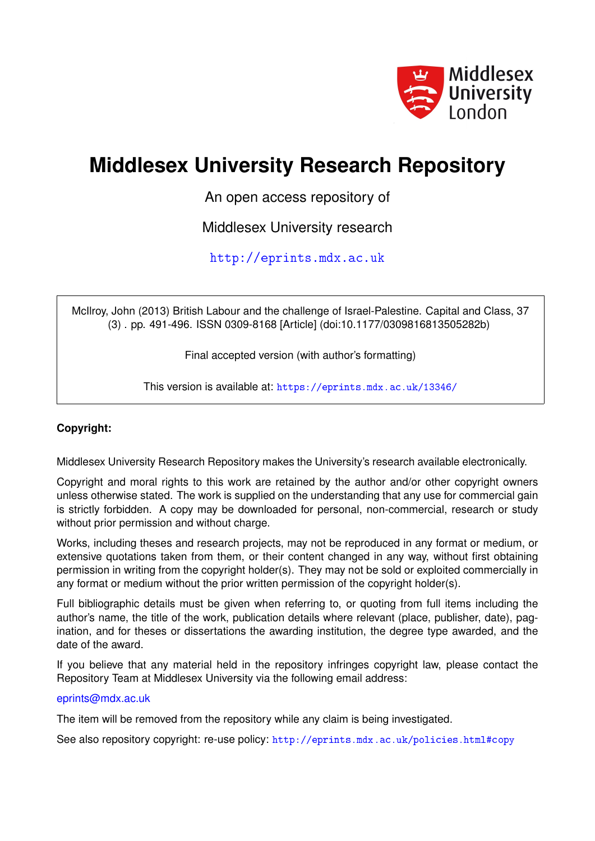

# **Middlesex University Research Repository**

An open access repository of

Middlesex University research

<http://eprints.mdx.ac.uk>

McIlroy, John (2013) British Labour and the challenge of Israel-Palestine. Capital and Class, 37 (3) . pp. 491-496. ISSN 0309-8168 [Article] (doi:10.1177/0309816813505282b)

Final accepted version (with author's formatting)

This version is available at: <https://eprints.mdx.ac.uk/13346/>

## **Copyright:**

Middlesex University Research Repository makes the University's research available electronically.

Copyright and moral rights to this work are retained by the author and/or other copyright owners unless otherwise stated. The work is supplied on the understanding that any use for commercial gain is strictly forbidden. A copy may be downloaded for personal, non-commercial, research or study without prior permission and without charge.

Works, including theses and research projects, may not be reproduced in any format or medium, or extensive quotations taken from them, or their content changed in any way, without first obtaining permission in writing from the copyright holder(s). They may not be sold or exploited commercially in any format or medium without the prior written permission of the copyright holder(s).

Full bibliographic details must be given when referring to, or quoting from full items including the author's name, the title of the work, publication details where relevant (place, publisher, date), pagination, and for theses or dissertations the awarding institution, the degree type awarded, and the date of the award.

If you believe that any material held in the repository infringes copyright law, please contact the Repository Team at Middlesex University via the following email address:

## [eprints@mdx.ac.uk](mailto:eprints@mdx.ac.uk)

The item will be removed from the repository while any claim is being investigated.

See also repository copyright: re-use policy: <http://eprints.mdx.ac.uk/policies.html#copy>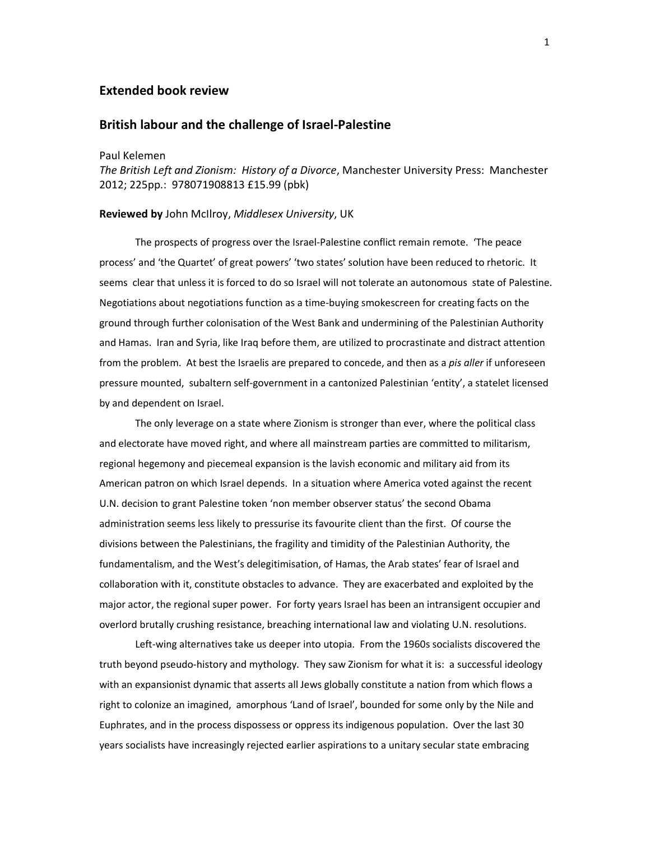### Extended book review

## British labour and the challenge of Israel-Palestine

Paul Kelemen

The British Left and Zionism: History of a Divorce, Manchester University Press: Manchester 2012; 225pp.: 978071908813 £15.99 (pbk)

#### Reviewed by John McIlroy, Middlesex University, UK

 The prospects of progress over the Israel-Palestine conflict remain remote. 'The peace process' and 'the Quartet' of great powers' 'two states' solution have been reduced to rhetoric. It seems clear that unless it is forced to do so Israel will not tolerate an autonomous state of Palestine. Negotiations about negotiations function as a time-buying smokescreen for creating facts on the ground through further colonisation of the West Bank and undermining of the Palestinian Authority and Hamas. Iran and Syria, like Iraq before them, are utilized to procrastinate and distract attention from the problem. At best the Israelis are prepared to concede, and then as a pis aller if unforeseen pressure mounted, subaltern self-government in a cantonized Palestinian 'entity', a statelet licensed by and dependent on Israel.

The only leverage on a state where Zionism is stronger than ever, where the political class and electorate have moved right, and where all mainstream parties are committed to militarism, regional hegemony and piecemeal expansion is the lavish economic and military aid from its American patron on which Israel depends. In a situation where America voted against the recent U.N. decision to grant Palestine token 'non member observer status' the second Obama administration seems less likely to pressurise its favourite client than the first. Of course the divisions between the Palestinians, the fragility and timidity of the Palestinian Authority, the fundamentalism, and the West's delegitimisation, of Hamas, the Arab states' fear of Israel and collaboration with it, constitute obstacles to advance. They are exacerbated and exploited by the major actor, the regional super power. For forty years Israel has been an intransigent occupier and overlord brutally crushing resistance, breaching international law and violating U.N. resolutions.

Left-wing alternatives take us deeper into utopia. From the 1960s socialists discovered the truth beyond pseudo-history and mythology. They saw Zionism for what it is: a successful ideology with an expansionist dynamic that asserts all Jews globally constitute a nation from which flows a right to colonize an imagined, amorphous 'Land of Israel', bounded for some only by the Nile and Euphrates, and in the process dispossess or oppress its indigenous population. Over the last 30 years socialists have increasingly rejected earlier aspirations to a unitary secular state embracing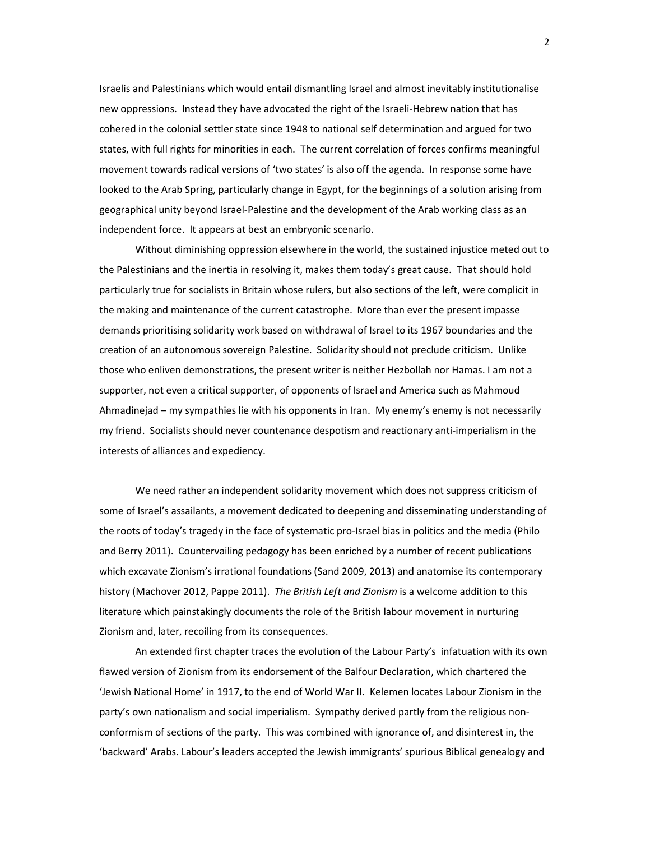Israelis and Palestinians which would entail dismantling Israel and almost inevitably institutionalise new oppressions. Instead they have advocated the right of the Israeli-Hebrew nation that has cohered in the colonial settler state since 1948 to national self determination and argued for two states, with full rights for minorities in each. The current correlation of forces confirms meaningful movement towards radical versions of 'two states' is also off the agenda. In response some have looked to the Arab Spring, particularly change in Egypt, for the beginnings of a solution arising from geographical unity beyond Israel-Palestine and the development of the Arab working class as an independent force. It appears at best an embryonic scenario.

 Without diminishing oppression elsewhere in the world, the sustained injustice meted out to the Palestinians and the inertia in resolving it, makes them today's great cause. That should hold particularly true for socialists in Britain whose rulers, but also sections of the left, were complicit in the making and maintenance of the current catastrophe. More than ever the present impasse demands prioritising solidarity work based on withdrawal of Israel to its 1967 boundaries and the creation of an autonomous sovereign Palestine. Solidarity should not preclude criticism. Unlike those who enliven demonstrations, the present writer is neither Hezbollah nor Hamas. I am not a supporter, not even a critical supporter, of opponents of Israel and America such as Mahmoud Ahmadinejad – my sympathies lie with his opponents in Iran. My enemy's enemy is not necessarily my friend. Socialists should never countenance despotism and reactionary anti-imperialism in the interests of alliances and expediency.

We need rather an independent solidarity movement which does not suppress criticism of some of Israel's assailants, a movement dedicated to deepening and disseminating understanding of the roots of today's tragedy in the face of systematic pro-Israel bias in politics and the media (Philo and Berry 2011). Countervailing pedagogy has been enriched by a number of recent publications which excavate Zionism's irrational foundations (Sand 2009, 2013) and anatomise its contemporary history (Machover 2012, Pappe 2011). The British Left and Zionism is a welcome addition to this literature which painstakingly documents the role of the British labour movement in nurturing Zionism and, later, recoiling from its consequences.

 An extended first chapter traces the evolution of the Labour Party's infatuation with its own flawed version of Zionism from its endorsement of the Balfour Declaration, which chartered the 'Jewish National Home' in 1917, to the end of World War II. Kelemen locates Labour Zionism in the party's own nationalism and social imperialism. Sympathy derived partly from the religious nonconformism of sections of the party. This was combined with ignorance of, and disinterest in, the 'backward' Arabs. Labour's leaders accepted the Jewish immigrants' spurious Biblical genealogy and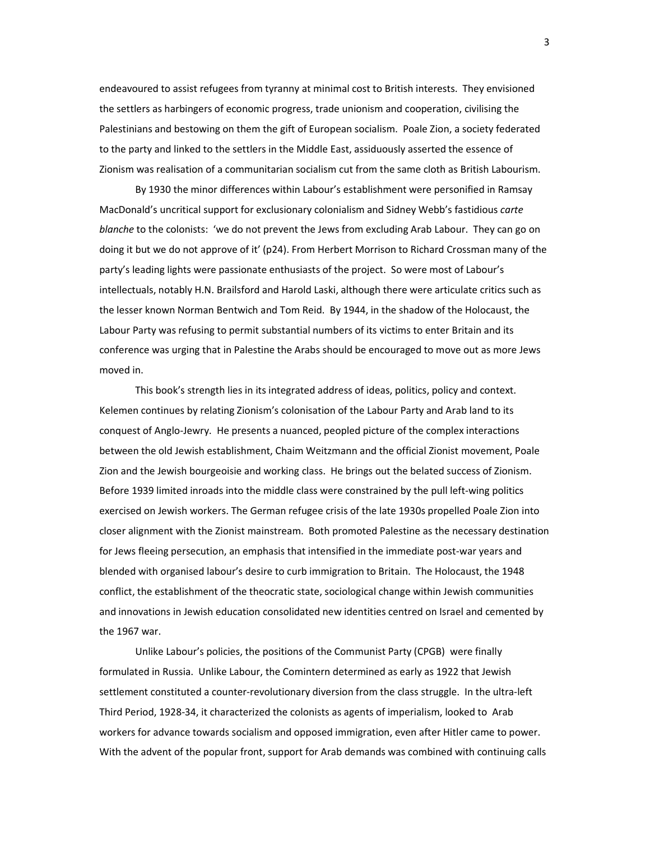endeavoured to assist refugees from tyranny at minimal cost to British interests. They envisioned the settlers as harbingers of economic progress, trade unionism and cooperation, civilising the Palestinians and bestowing on them the gift of European socialism. Poale Zion, a society federated to the party and linked to the settlers in the Middle East, assiduously asserted the essence of Zionism was realisation of a communitarian socialism cut from the same cloth as British Labourism.

By 1930 the minor differences within Labour's establishment were personified in Ramsay MacDonald's uncritical support for exclusionary colonialism and Sidney Webb's fastidious carte blanche to the colonists: 'we do not prevent the Jews from excluding Arab Labour. They can go on doing it but we do not approve of it' (p24). From Herbert Morrison to Richard Crossman many of the party's leading lights were passionate enthusiasts of the project. So were most of Labour's intellectuals, notably H.N. Brailsford and Harold Laski, although there were articulate critics such as the lesser known Norman Bentwich and Tom Reid. By 1944, in the shadow of the Holocaust, the Labour Party was refusing to permit substantial numbers of its victims to enter Britain and its conference was urging that in Palestine the Arabs should be encouraged to move out as more Jews moved in.

 This book's strength lies in its integrated address of ideas, politics, policy and context. Kelemen continues by relating Zionism's colonisation of the Labour Party and Arab land to its conquest of Anglo-Jewry. He presents a nuanced, peopled picture of the complex interactions between the old Jewish establishment, Chaim Weitzmann and the official Zionist movement, Poale Zion and the Jewish bourgeoisie and working class. He brings out the belated success of Zionism. Before 1939 limited inroads into the middle class were constrained by the pull left-wing politics exercised on Jewish workers. The German refugee crisis of the late 1930s propelled Poale Zion into closer alignment with the Zionist mainstream. Both promoted Palestine as the necessary destination for Jews fleeing persecution, an emphasis that intensified in the immediate post-war years and blended with organised labour's desire to curb immigration to Britain. The Holocaust, the 1948 conflict, the establishment of the theocratic state, sociological change within Jewish communities and innovations in Jewish education consolidated new identities centred on Israel and cemented by the 1967 war.

 Unlike Labour's policies, the positions of the Communist Party (CPGB) were finally formulated in Russia. Unlike Labour, the Comintern determined as early as 1922 that Jewish settlement constituted a counter-revolutionary diversion from the class struggle. In the ultra-left Third Period, 1928-34, it characterized the colonists as agents of imperialism, looked to Arab workers for advance towards socialism and opposed immigration, even after Hitler came to power. With the advent of the popular front, support for Arab demands was combined with continuing calls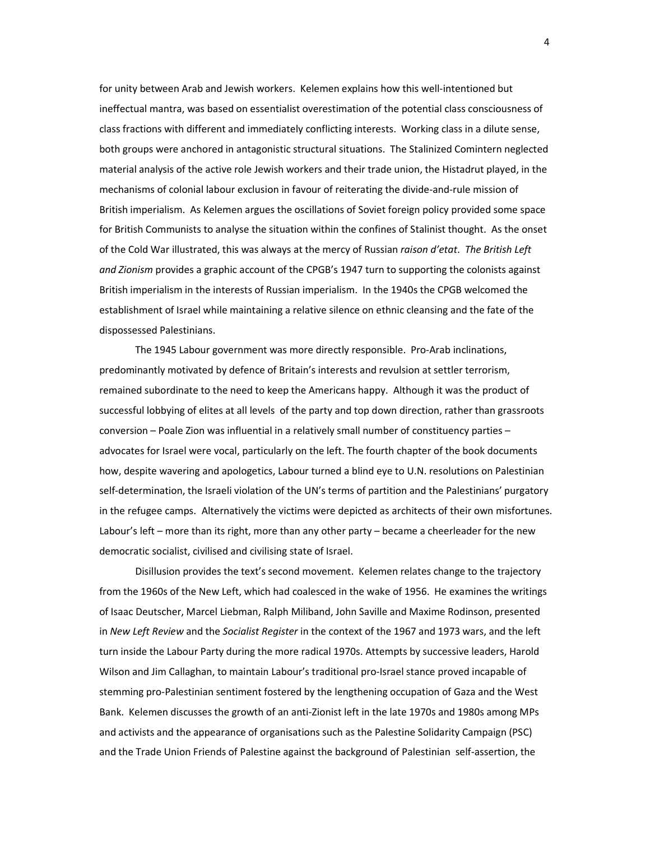for unity between Arab and Jewish workers. Kelemen explains how this well-intentioned but ineffectual mantra, was based on essentialist overestimation of the potential class consciousness of class fractions with different and immediately conflicting interests. Working class in a dilute sense, both groups were anchored in antagonistic structural situations. The Stalinized Comintern neglected material analysis of the active role Jewish workers and their trade union, the Histadrut played, in the mechanisms of colonial labour exclusion in favour of reiterating the divide-and-rule mission of British imperialism. As Kelemen argues the oscillations of Soviet foreign policy provided some space for British Communists to analyse the situation within the confines of Stalinist thought. As the onset of the Cold War illustrated, this was always at the mercy of Russian raison d'etat. The British Left and Zionism provides a graphic account of the CPGB's 1947 turn to supporting the colonists against British imperialism in the interests of Russian imperialism. In the 1940s the CPGB welcomed the establishment of Israel while maintaining a relative silence on ethnic cleansing and the fate of the dispossessed Palestinians.

 The 1945 Labour government was more directly responsible. Pro-Arab inclinations, predominantly motivated by defence of Britain's interests and revulsion at settler terrorism, remained subordinate to the need to keep the Americans happy. Although it was the product of successful lobbying of elites at all levels of the party and top down direction, rather than grassroots conversion – Poale Zion was influential in a relatively small number of constituency parties – advocates for Israel were vocal, particularly on the left. The fourth chapter of the book documents how, despite wavering and apologetics, Labour turned a blind eye to U.N. resolutions on Palestinian self-determination, the Israeli violation of the UN's terms of partition and the Palestinians' purgatory in the refugee camps. Alternatively the victims were depicted as architects of their own misfortunes. Labour's left – more than its right, more than any other party – became a cheerleader for the new democratic socialist, civilised and civilising state of Israel.

 Disillusion provides the text's second movement. Kelemen relates change to the trajectory from the 1960s of the New Left, which had coalesced in the wake of 1956. He examines the writings of Isaac Deutscher, Marcel Liebman, Ralph Miliband, John Saville and Maxime Rodinson, presented in New Left Review and the Socialist Register in the context of the 1967 and 1973 wars, and the left turn inside the Labour Party during the more radical 1970s. Attempts by successive leaders, Harold Wilson and Jim Callaghan, to maintain Labour's traditional pro-Israel stance proved incapable of stemming pro-Palestinian sentiment fostered by the lengthening occupation of Gaza and the West Bank. Kelemen discusses the growth of an anti-Zionist left in the late 1970s and 1980s among MPs and activists and the appearance of organisations such as the Palestine Solidarity Campaign (PSC) and the Trade Union Friends of Palestine against the background of Palestinian self-assertion, the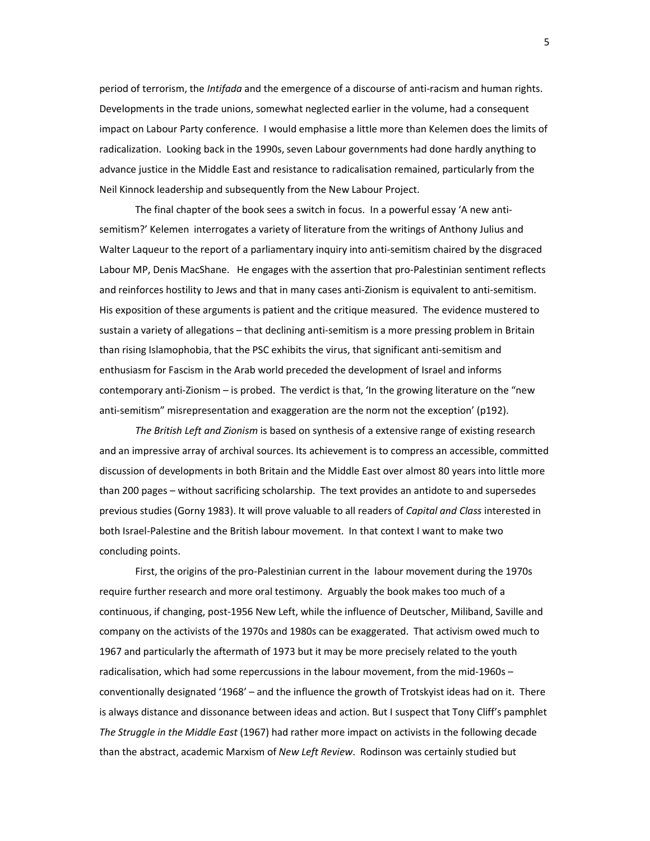period of terrorism, the *Intifada* and the emergence of a discourse of anti-racism and human rights. Developments in the trade unions, somewhat neglected earlier in the volume, had a consequent impact on Labour Party conference. I would emphasise a little more than Kelemen does the limits of radicalization. Looking back in the 1990s, seven Labour governments had done hardly anything to advance justice in the Middle East and resistance to radicalisation remained, particularly from the Neil Kinnock leadership and subsequently from the New Labour Project.

 The final chapter of the book sees a switch in focus. In a powerful essay 'A new antisemitism?' Kelemen interrogates a variety of literature from the writings of Anthony Julius and Walter Laqueur to the report of a parliamentary inquiry into anti-semitism chaired by the disgraced Labour MP, Denis MacShane. He engages with the assertion that pro-Palestinian sentiment reflects and reinforces hostility to Jews and that in many cases anti-Zionism is equivalent to anti-semitism. His exposition of these arguments is patient and the critique measured. The evidence mustered to sustain a variety of allegations – that declining anti-semitism is a more pressing problem in Britain than rising Islamophobia, that the PSC exhibits the virus, that significant anti-semitism and enthusiasm for Fascism in the Arab world preceded the development of Israel and informs contemporary anti-Zionism – is probed. The verdict is that, 'In the growing literature on the "new anti-semitism" misrepresentation and exaggeration are the norm not the exception' (p192).

The British Left and Zionism is based on synthesis of a extensive range of existing research and an impressive array of archival sources. Its achievement is to compress an accessible, committed discussion of developments in both Britain and the Middle East over almost 80 years into little more than 200 pages – without sacrificing scholarship. The text provides an antidote to and supersedes previous studies (Gorny 1983). It will prove valuable to all readers of Capital and Class interested in both Israel-Palestine and the British labour movement. In that context I want to make two concluding points.

 First, the origins of the pro-Palestinian current in the labour movement during the 1970s require further research and more oral testimony. Arguably the book makes too much of a continuous, if changing, post-1956 New Left, while the influence of Deutscher, Miliband, Saville and company on the activists of the 1970s and 1980s can be exaggerated. That activism owed much to 1967 and particularly the aftermath of 1973 but it may be more precisely related to the youth radicalisation, which had some repercussions in the labour movement, from the mid-1960s – conventionally designated '1968' – and the influence the growth of Trotskyist ideas had on it. There is always distance and dissonance between ideas and action. But I suspect that Tony Cliff's pamphlet The Struggle in the Middle East (1967) had rather more impact on activists in the following decade than the abstract, academic Marxism of New Left Review. Rodinson was certainly studied but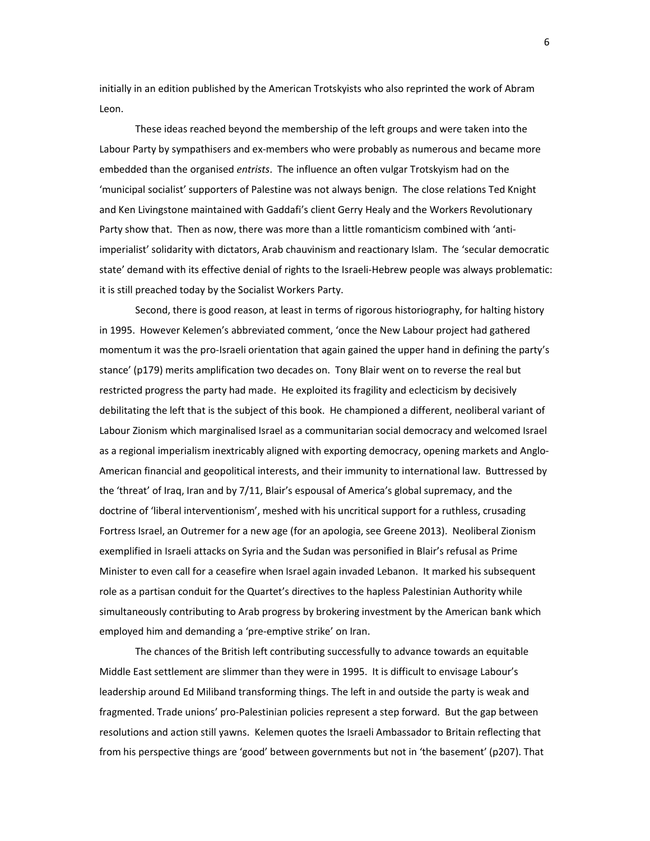initially in an edition published by the American Trotskyists who also reprinted the work of Abram Leon.

 These ideas reached beyond the membership of the left groups and were taken into the Labour Party by sympathisers and ex-members who were probably as numerous and became more embedded than the organised entrists. The influence an often vulgar Trotskyism had on the 'municipal socialist' supporters of Palestine was not always benign. The close relations Ted Knight and Ken Livingstone maintained with Gaddafi's client Gerry Healy and the Workers Revolutionary Party show that. Then as now, there was more than a little romanticism combined with 'antiimperialist' solidarity with dictators, Arab chauvinism and reactionary Islam. The 'secular democratic state' demand with its effective denial of rights to the Israeli-Hebrew people was always problematic: it is still preached today by the Socialist Workers Party.

 Second, there is good reason, at least in terms of rigorous historiography, for halting history in 1995. However Kelemen's abbreviated comment, 'once the New Labour project had gathered momentum it was the pro-Israeli orientation that again gained the upper hand in defining the party's stance' (p179) merits amplification two decades on. Tony Blair went on to reverse the real but restricted progress the party had made. He exploited its fragility and eclecticism by decisively debilitating the left that is the subject of this book. He championed a different, neoliberal variant of Labour Zionism which marginalised Israel as a communitarian social democracy and welcomed Israel as a regional imperialism inextricably aligned with exporting democracy, opening markets and Anglo-American financial and geopolitical interests, and their immunity to international law. Buttressed by the 'threat' of Iraq, Iran and by 7/11, Blair's espousal of America's global supremacy, and the doctrine of 'liberal interventionism', meshed with his uncritical support for a ruthless, crusading Fortress Israel, an Outremer for a new age (for an apologia, see Greene 2013). Neoliberal Zionism exemplified in Israeli attacks on Syria and the Sudan was personified in Blair's refusal as Prime Minister to even call for a ceasefire when Israel again invaded Lebanon. It marked his subsequent role as a partisan conduit for the Quartet's directives to the hapless Palestinian Authority while simultaneously contributing to Arab progress by brokering investment by the American bank which employed him and demanding a 'pre-emptive strike' on Iran.

 The chances of the British left contributing successfully to advance towards an equitable Middle East settlement are slimmer than they were in 1995. It is difficult to envisage Labour's leadership around Ed Miliband transforming things. The left in and outside the party is weak and fragmented. Trade unions' pro-Palestinian policies represent a step forward. But the gap between resolutions and action still yawns. Kelemen quotes the Israeli Ambassador to Britain reflecting that from his perspective things are 'good' between governments but not in 'the basement' (p207). That

6